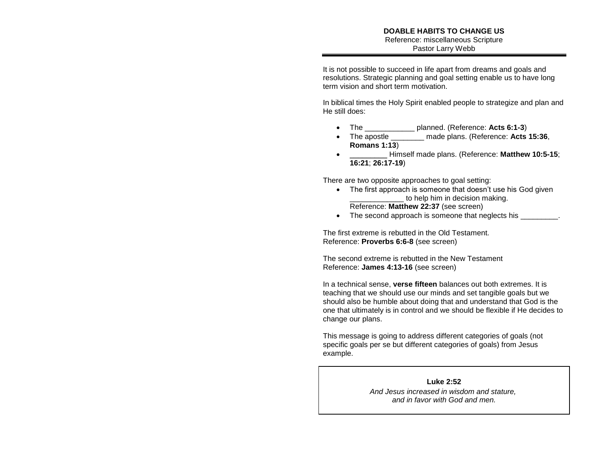It is not possible to succeed in life apart from dreams and goals and resolutions. Strategic planning and goal setting enable us to have long term vision and short term motivation.

In biblical times the Holy Spirit enabled people to strategize and plan and He still does:

- The \_\_\_\_\_\_\_\_\_\_\_\_ planned. (Reference: **Acts 6:1-3**)
- The apostle \_\_\_\_\_\_\_\_ made plans. (Reference: **Acts 15:36**, **Romans 1:13**)
- \_\_\_\_\_\_\_\_\_ Himself made plans. (Reference: **Matthew 10:5-15**; **16:21**; **26:17-19**)

There are two opposite approaches to goal setting:

- The first approach is someone that doesn't use his God given to help him in decision making. Reference: **Matthew 22:37** (see screen)
- The second approach is someone that neglects his

The first extreme is rebutted in the Old Testament. Reference: **Proverbs 6:6-8** (see screen)

The second extreme is rebutted in the New Testament Reference: **James 4:13-16** (see screen)

In a technical sense, **verse fifteen** balances out both extremes. It is teaching that we should use our minds and set tangible goals but we should also be humble about doing that and understand that God is the one that ultimately is in control and we should be flexible if He decides to change our plans.

This message is going to address different categories of goals (not specific goals per se but different categories of goals) from Jesus example.

## **Luke 2:52**

*And Jesus increased in wisdom and stature, and in favor with God and men.*